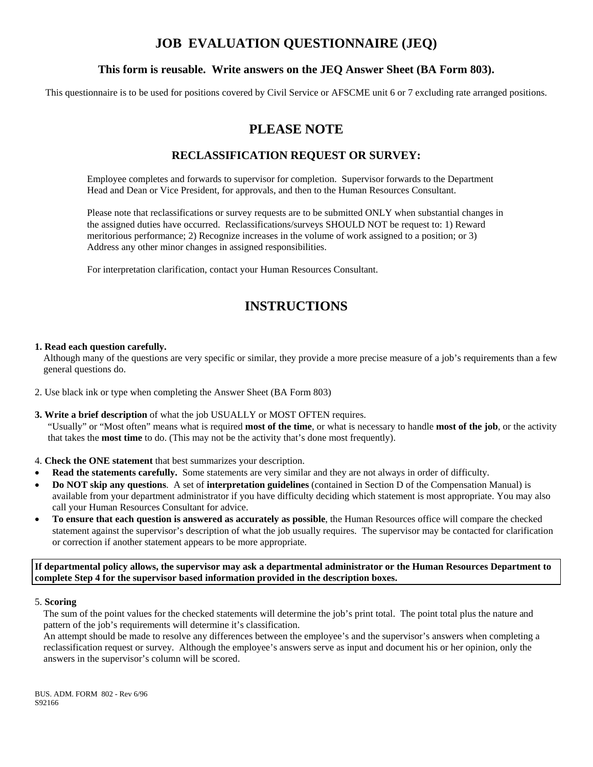# **JOB EVALUATION QUESTIONNAIRE (JEQ)**

### **This form is reusable. Write answers on the JEQ Answer Sheet (BA Form 803).**

This questionnaire is to be used for positions covered by Civil Service or AFSCME unit 6 or 7 excluding rate arranged positions.

# **PLEASE NOTE**

### **RECLASSIFICATION REQUEST OR SURVEY:**

Employee completes and forwards to supervisor for completion. Supervisor forwards to the Department Head and Dean or Vice President, for approvals, and then to the Human Resources Consultant.

Please note that reclassifications or survey requests are to be submitted ONLY when substantial changes in the assigned duties have occurred. Reclassifications/surveys SHOULD NOT be request to: 1) Reward meritorious performance; 2) Recognize increases in the volume of work assigned to a position; or 3) Address any other minor changes in assigned responsibilities.

For interpretation clarification, contact your Human Resources Consultant.

# **INSTRUCTIONS**

### **1. Read each question carefully.**

Although many of the questions are very specific or similar, they provide a more precise measure of a job's requirements than a few general questions do.

2. Use black ink or type when completing the Answer Sheet (BA Form 803)

### **3. Write a brief description** of what the job USUALLY or MOST OFTEN requires.

"Usually" or "Most often" means what is required **most of the time**, or what is necessary to handle **most of the job**, or the activity that takes the **most time** to do. (This may not be the activity that's done most frequently).

- 4. **Check the ONE statement** that best summarizes your description.
- **Read the statements carefully.** Some statements are very similar and they are not always in order of difficulty.
- **Do NOT skip any questions**. A set of **interpretation guidelines** (contained in Section D of the Compensation Manual) is available from your department administrator if you have difficulty deciding which statement is most appropriate. You may also call your Human Resources Consultant for advice.
- **To ensure that each question is answered as accurately as possible**, the Human Resources office will compare the checked statement against the supervisor's description of what the job usually requires. The supervisor may be contacted for clarification or correction if another statement appears to be more appropriate.

**If departmental policy allows, the supervisor may ask a departmental administrator or the Human Resources Department to complete Step 4 for the supervisor based information provided in the description boxes.** 

#### 5. **Scoring**

The sum of the point values for the checked statements will determine the job's print total. The point total plus the nature and pattern of the job's requirements will determine it's classification.

An attempt should be made to resolve any differences between the employee's and the supervisor's answers when completing a reclassification request or survey. Although the employee's answers serve as input and document his or her opinion, only the answers in the supervisor's column will be scored.

BUS. ADM. FORM 802 - Rev 6/96 S92166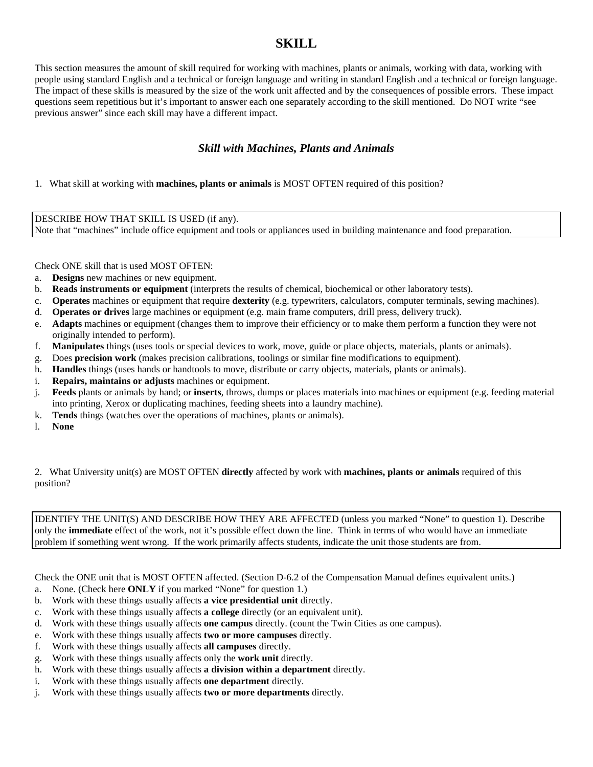### **SKILL**

This section measures the amount of skill required for working with machines, plants or animals, working with data, working with people using standard English and a technical or foreign language and writing in standard English and a technical or foreign language. The impact of these skills is measured by the size of the work unit affected and by the consequences of possible errors. These impact questions seem repetitious but it's important to answer each one separately according to the skill mentioned. Do NOT write "see previous answer" since each skill may have a different impact.

### *Skill with Machines, Plants and Animals*

1. What skill at working with **machines, plants or animals** is MOST OFTEN required of this position?

DESCRIBE HOW THAT SKILL IS USED (if any). Note that "machines" include office equipment and tools or appliances used in building maintenance and food preparation.

Check ONE skill that is used MOST OFTEN:

- a. **Designs** new machines or new equipment.
- b. **Reads instruments or equipment** (interprets the results of chemical, biochemical or other laboratory tests).
- c. **Operates** machines or equipment that require **dexterity** (e.g. typewriters, calculators, computer terminals, sewing machines).
- d. **Operates or drives** large machines or equipment (e.g. main frame computers, drill press, delivery truck).
- e. **Adapts** machines or equipment (changes them to improve their efficiency or to make them perform a function they were not originally intended to perform).
- f. **Manipulates** things (uses tools or special devices to work, move, guide or place objects, materials, plants or animals).
- g. Does **precision work** (makes precision calibrations, toolings or similar fine modifications to equipment).
- h. **Handles** things (uses hands or handtools to move, distribute or carry objects, materials, plants or animals).
- i. **Repairs, maintains or adjusts** machines or equipment.
- j. **Feeds** plants or animals by hand; or **inserts**, throws, dumps or places materials into machines or equipment (e.g. feeding material into printing, Xerox or duplicating machines, feeding sheets into a laundry machine).
- k. **Tends** things (watches over the operations of machines, plants or animals).
- l. **None**

2. What University unit(s) are MOST OFTEN **directly** affected by work with **machines, plants or animals** required of this position?

IDENTIFY THE UNIT(S) AND DESCRIBE HOW THEY ARE AFFECTED (unless you marked "None" to question 1). Describe only the **immediate** effect of the work, not it's possible effect down the line. Think in terms of who would have an immediate problem if something went wrong. If the work primarily affects students, indicate the unit those students are from.

Check the ONE unit that is MOST OFTEN affected. (Section D-6.2 of the Compensation Manual defines equivalent units.)

- a. None. (Check here **ONLY** if you marked "None" for question 1.)
- b. Work with these things usually affects **a vice presidential unit** directly.
- c. Work with these things usually affects **a college** directly (or an equivalent unit).
- d. Work with these things usually affects **one campus** directly. (count the Twin Cities as one campus).
- e. Work with these things usually affects **two or more campuses** directly.
- f. Work with these things usually affects **all campuses** directly.
- g. Work with these things usually affects only the **work unit** directly.
- h. Work with these things usually affects **a division within a department** directly.
- i. Work with these things usually affects **one department** directly.
- j. Work with these things usually affects **two or more departments** directly.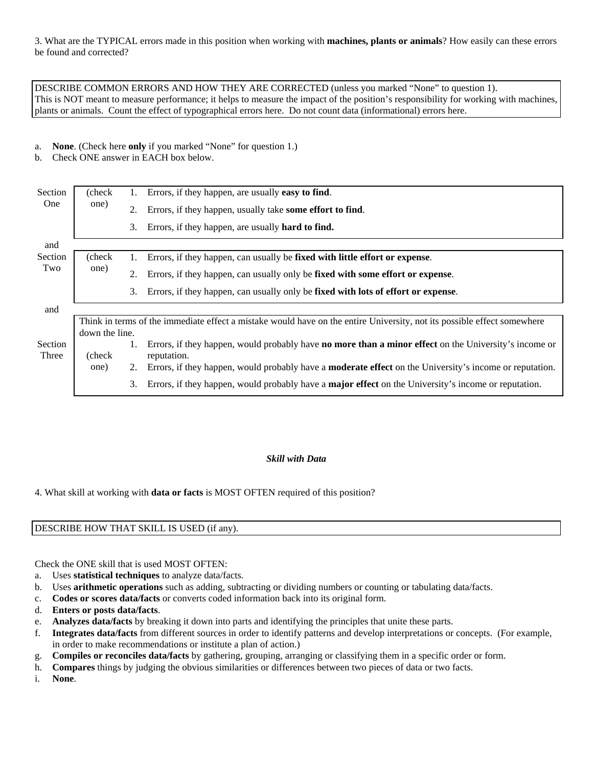3. What are the TYPICAL errors made in this position when working with **machines, plants or animals**? How easily can these errors be found and corrected?

DESCRIBE COMMON ERRORS AND HOW THEY ARE CORRECTED (unless you marked "None" to question 1). This is NOT meant to measure performance; it helps to measure the impact of the position's responsibility for working with machines, plants or animals. Count the effect of typographical errors here. Do not count data (informational) errors here.

#### a. **None**. (Check here **only** if you marked "None" for question 1.)

b. Check ONE answer in EACH box below.

| Section    | (check)        | 1. | Errors, if they happen, are usually <b>easy to find</b> .                                                               |
|------------|----------------|----|-------------------------------------------------------------------------------------------------------------------------|
| <b>One</b> | one)           | 2. | Errors, if they happen, usually take some effort to find.                                                               |
|            |                | 3. | Errors, if they happen, are usually <b>hard to find.</b>                                                                |
| and        |                |    |                                                                                                                         |
| Section    | (check)        | 1. | Errors, if they happen, can usually be fixed with little effort or expense.                                             |
| Two        | one)           | 2. | Errors, if they happen, can usually only be fixed with some effort or expense.                                          |
|            |                | 3. | Errors, if they happen, can usually only be fixed with lots of effort or expense.                                       |
| and        |                |    |                                                                                                                         |
|            |                |    | Think in terms of the immediate effect a mistake would have on the entire University, not its possible effect somewhere |
|            | down the line. |    |                                                                                                                         |
| Section    |                |    | Errors, if they happen, would probably have <b>no more than a minor effect</b> on the University's income or            |
| Three      | (check)        |    | reputation.                                                                                                             |
|            | one)           | 2. | Errors, if they happen, would probably have a <b>moderate effect</b> on the University's income or reputation.          |
|            |                | 3. | Errors, if they happen, would probably have a <b>major effect</b> on the University's income or reputation.             |

#### *Skill with Data*

4. What skill at working with **data or facts** is MOST OFTEN required of this position?

### DESCRIBE HOW THAT SKILL IS USED (if any).

Check the ONE skill that is used MOST OFTEN:

- a. Uses **statistical techniques** to analyze data/facts.
- b. Uses **arithmetic operations** such as adding, subtracting or dividing numbers or counting or tabulating data/facts.
- c. **Codes or scores data/facts** or converts coded information back into its original form.
- d. **Enters or posts data/facts**.
- e. **Analyzes data/facts** by breaking it down into parts and identifying the principles that unite these parts.
- f. **Integrates data/facts** from different sources in order to identify patterns and develop interpretations or concepts. (For example, in order to make recommendations or institute a plan of action.)
- g. **Compiles or reconciles data/facts** by gathering, grouping, arranging or classifying them in a specific order or form.
- h. **Compares** things by judging the obvious similarities or differences between two pieces of data or two facts.

i. **None**.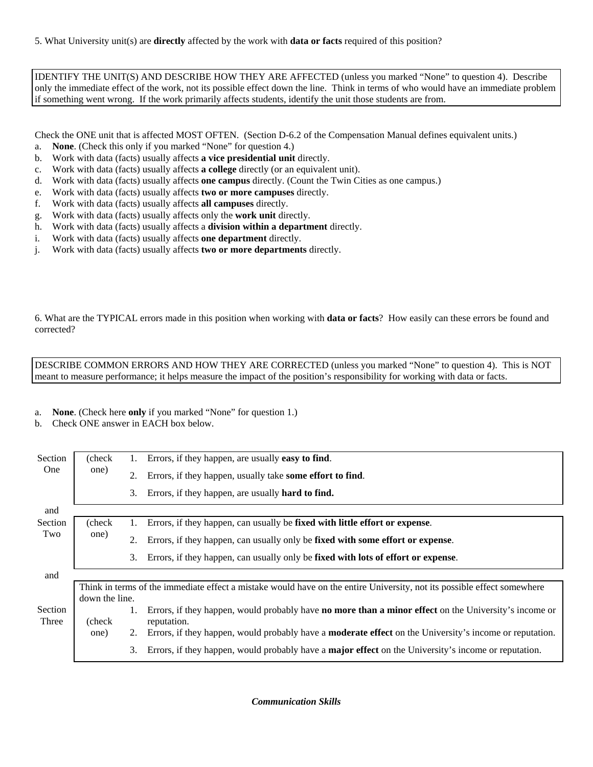IDENTIFY THE UNIT(S) AND DESCRIBE HOW THEY ARE AFFECTED (unless you marked "None" to question 4). Describe only the immediate effect of the work, not its possible effect down the line. Think in terms of who would have an immediate problem if something went wrong. If the work primarily affects students, identify the unit those students are from.

Check the ONE unit that is affected MOST OFTEN. (Section D-6.2 of the Compensation Manual defines equivalent units.)

- a. **None**. (Check this only if you marked "None" for question 4.)
- b. Work with data (facts) usually affects **a vice presidential unit** directly.
- c. Work with data (facts) usually affects **a college** directly (or an equivalent unit).
- d. Work with data (facts) usually affects **one campus** directly. (Count the Twin Cities as one campus.)
- e. Work with data (facts) usually affects **two or more campuses** directly.
- f. Work with data (facts) usually affects **all campuses** directly.
- g. Work with data (facts) usually affects only the **work unit** directly.
- h. Work with data (facts) usually affects a **division within a department** directly.
- i. Work with data (facts) usually affects **one department** directly.
- j. Work with data (facts) usually affects **two or more departments** directly.

6. What are the TYPICAL errors made in this position when working with **data or facts**? How easily can these errors be found and corrected?

DESCRIBE COMMON ERRORS AND HOW THEY ARE CORRECTED (unless you marked "None" to question 4). This is NOT meant to measure performance; it helps measure the impact of the position's responsibility for working with data or facts.

#### a. **None**. (Check here **only** if you marked "None" for question 1.)

b. Check ONE answer in EACH box below.

| Section    | (check)        | 1. | Errors, if they happen, are usually easy to find.                                                                       |
|------------|----------------|----|-------------------------------------------------------------------------------------------------------------------------|
| <b>One</b> | one)           | 2. | Errors, if they happen, usually take some effort to find.                                                               |
|            |                | 3. | Errors, if they happen, are usually <b>hard to find.</b>                                                                |
| and        |                |    |                                                                                                                         |
| Section    | (check)        | 1. | Errors, if they happen, can usually be fixed with little effort or expense.                                             |
| Two        | one)           | 2. | Errors, if they happen, can usually only be fixed with some effort or expense.                                          |
|            |                | 3. | Errors, if they happen, can usually only be fixed with lots of effort or expense.                                       |
| and        |                |    |                                                                                                                         |
|            |                |    | Think in terms of the immediate effect a mistake would have on the entire University, not its possible effect somewhere |
|            | down the line. |    |                                                                                                                         |
| Section    |                |    | Errors, if they happen, would probably have <b>no more than a minor effect</b> on the University's income or            |
| Three      | (check)        |    | reputation.                                                                                                             |
|            | one)           | 2. | Errors, if they happen, would probably have a <b>moderate effect</b> on the University's income or reputation.          |
|            |                |    | 3. Errors, if they happen, would probably have a <b>major effect</b> on the University's income or reputation.          |

*Communication Skills*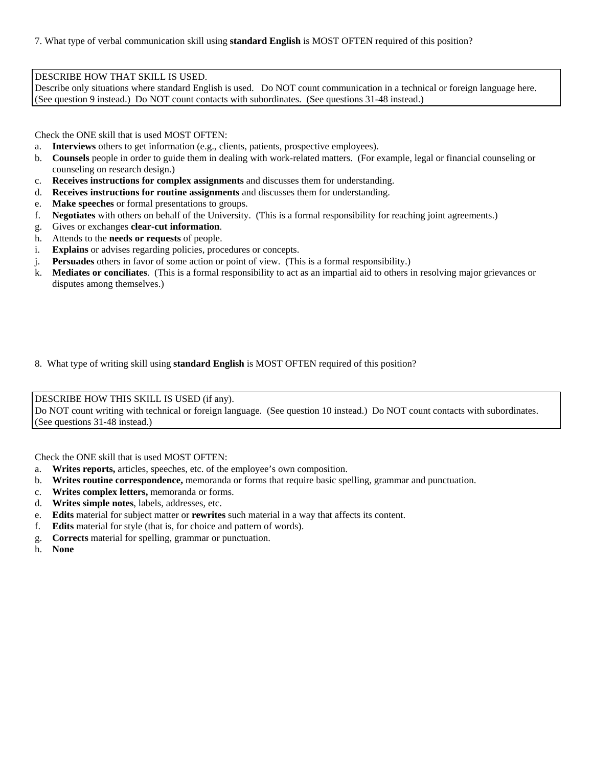7. What type of verbal communication skill using **standard English** is MOST OFTEN required of this position?

#### DESCRIBE HOW THAT SKILL IS USED.

Describe only situations where standard English is used. Do NOT count communication in a technical or foreign language here. (See question 9 instead.) Do NOT count contacts with subordinates. (See questions 31-48 instead.)

Check the ONE skill that is used MOST OFTEN:

- a. **Interviews** others to get information (e.g., clients, patients, prospective employees).
- b. **Counsels** people in order to guide them in dealing with work-related matters. (For example, legal or financial counseling or counseling on research design.)
- c. **Receives instructions for complex assignments** and discusses them for understanding.
- d. **Receives instructions for routine assignments** and discusses them for understanding.
- e. **Make speeches** or formal presentations to groups.
- f. **Negotiates** with others on behalf of the University. (This is a formal responsibility for reaching joint agreements.)
- g. Gives or exchanges **clear-cut information**.
- h. Attends to the **needs or requests** of people.
- i. **Explains** or advises regarding policies, procedures or concepts.
- j. **Persuades** others in favor of some action or point of view. (This is a formal responsibility.)
- k. **Mediates or conciliates**. (This is a formal responsibility to act as an impartial aid to others in resolving major grievances or disputes among themselves.)
- 8. What type of writing skill using **standard English** is MOST OFTEN required of this position?

DESCRIBE HOW THIS SKILL IS USED (if any). Do NOT count writing with technical or foreign language. (See question 10 instead.) Do NOT count contacts with subordinates. (See questions 31-48 instead.)

Check the ONE skill that is used MOST OFTEN:

- a. **Writes reports,** articles, speeches, etc. of the employee's own composition.
- b. **Writes routine correspondence,** memoranda or forms that require basic spelling, grammar and punctuation.
- c. **Writes complex letters,** memoranda or forms.
- d. **Writes simple notes**, labels, addresses, etc.
- e. **Edits** material for subject matter or **rewrites** such material in a way that affects its content.
- f. **Edits** material for style (that is, for choice and pattern of words).
- g. **Corrects** material for spelling, grammar or punctuation.
- h. **None**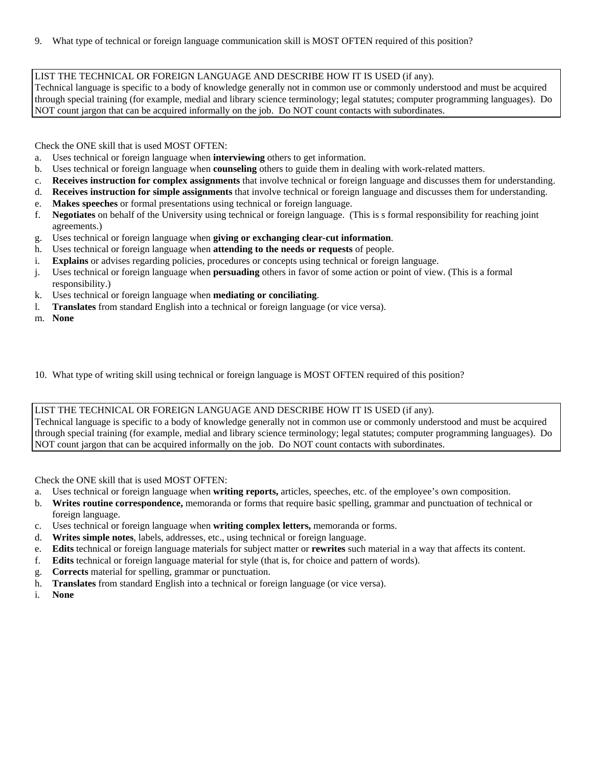### LIST THE TECHNICAL OR FOREIGN LANGUAGE AND DESCRIBE HOW IT IS USED (if any).

Technical language is specific to a body of knowledge generally not in common use or commonly understood and must be acquired through special training (for example, medial and library science terminology; legal statutes; computer programming languages). Do NOT count jargon that can be acquired informally on the job. Do NOT count contacts with subordinates.

Check the ONE skill that is used MOST OFTEN:

- a. Uses technical or foreign language when **interviewing** others to get information.
- b. Uses technical or foreign language when **counseling** others to guide them in dealing with work-related matters.
- c. **Receives instruction for complex assignments** that involve technical or foreign language and discusses them for understanding.
- d. **Receives instruction for simple assignments** that involve technical or foreign language and discusses them for understanding.
- e. **Makes speeches** or formal presentations using technical or foreign language.
- f. **Negotiates** on behalf of the University using technical or foreign language. (This is s formal responsibility for reaching joint agreements.)
- g. Uses technical or foreign language when **giving or exchanging clear-cut information**.
- h. Uses technical or foreign language when **attending to the needs or requests** of people.
- i. **Explains** or advises regarding policies, procedures or concepts using technical or foreign language.
- j. Uses technical or foreign language when **persuading** others in favor of some action or point of view. (This is a formal responsibility.)
- k. Uses technical or foreign language when **mediating or conciliating**.
- l. **Translates** from standard English into a technical or foreign language (or vice versa).
- m. **None**

10. What type of writing skill using technical or foreign language is MOST OFTEN required of this position?

### LIST THE TECHNICAL OR FOREIGN LANGUAGE AND DESCRIBE HOW IT IS USED (if any).

Technical language is specific to a body of knowledge generally not in common use or commonly understood and must be acquired through special training (for example, medial and library science terminology; legal statutes; computer programming languages). Do NOT count jargon that can be acquired informally on the job. Do NOT count contacts with subordinates.

Check the ONE skill that is used MOST OFTEN:

- a. Uses technical or foreign language when **writing reports,** articles, speeches, etc. of the employee's own composition.
- b. **Writes routine correspondence,** memoranda or forms that require basic spelling, grammar and punctuation of technical or foreign language.
- c. Uses technical or foreign language when **writing complex letters,** memoranda or forms.
- d. **Writes simple notes**, labels, addresses, etc., using technical or foreign language.
- e. **Edits** technical or foreign language materials for subject matter or **rewrites** such material in a way that affects its content.
- f. **Edits** technical or foreign language material for style (that is, for choice and pattern of words).
- g. **Corrects** material for spelling, grammar or punctuation.
- h. **Translates** from standard English into a technical or foreign language (or vice versa).
- i. **None**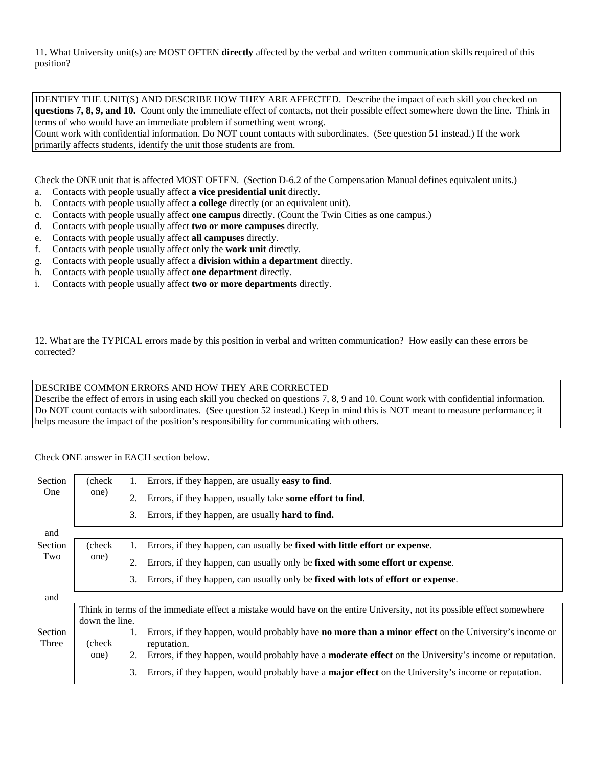11. What University unit(s) are MOST OFTEN **directly** affected by the verbal and written communication skills required of this position?

IDENTIFY THE UNIT(S) AND DESCRIBE HOW THEY ARE AFFECTED. Describe the impact of each skill you checked on **questions 7, 8, 9, and 10.** Count only the immediate effect of contacts, not their possible effect somewhere down the line. Think in terms of who would have an immediate problem if something went wrong.

Count work with confidential information. Do NOT count contacts with subordinates. (See question 51 instead.) If the work primarily affects students, identify the unit those students are from.

Check the ONE unit that is affected MOST OFTEN. (Section D-6.2 of the Compensation Manual defines equivalent units.)

- a. Contacts with people usually affect **a vice presidential unit** directly.
- b. Contacts with people usually affect **a college** directly (or an equivalent unit).
- c. Contacts with people usually affect **one campus** directly. (Count the Twin Cities as one campus.)
- d. Contacts with people usually affect **two or more campuses** directly.
- e. Contacts with people usually affect **all campuses** directly.
- f. Contacts with people usually affect only the **work unit** directly.
- g. Contacts with people usually affect a **division within a department** directly.
- h. Contacts with people usually affect **one department** directly.
- i. Contacts with people usually affect **two or more departments** directly.

12. What are the TYPICAL errors made by this position in verbal and written communication? How easily can these errors be corrected?

#### DESCRIBE COMMON ERRORS AND HOW THEY ARE CORRECTED

Describe the effect of errors in using each skill you checked on questions 7, 8, 9 and 10. Count work with confidential information. Do NOT count contacts with subordinates. (See question 52 instead.) Keep in mind this is NOT meant to measure performance; it helps measure the impact of the position's responsibility for communicating with others.

Check ONE answer in EACH section below.

| Section          | (check)                                                                                                                                   | 1. | Errors, if they happen, are usually <b>easy to find</b> .                                                                                                                                                                                     |
|------------------|-------------------------------------------------------------------------------------------------------------------------------------------|----|-----------------------------------------------------------------------------------------------------------------------------------------------------------------------------------------------------------------------------------------------|
| <b>One</b>       | one)                                                                                                                                      | 2. | Errors, if they happen, usually take some effort to find.                                                                                                                                                                                     |
|                  |                                                                                                                                           |    | 3. Errors, if they happen, are usually <b>hard to find.</b>                                                                                                                                                                                   |
| and              |                                                                                                                                           |    |                                                                                                                                                                                                                                               |
| Section          | (check                                                                                                                                    | 1. | Errors, if they happen, can usually be fixed with little effort or expense.                                                                                                                                                                   |
| Two              | one)                                                                                                                                      | 2. | Errors, if they happen, can usually only be fixed with some effort or expense.                                                                                                                                                                |
|                  |                                                                                                                                           | 3. | Errors, if they happen, can usually only be fixed with lots of effort or expense.                                                                                                                                                             |
| and              |                                                                                                                                           |    |                                                                                                                                                                                                                                               |
|                  | Think in terms of the immediate effect a mistake would have on the entire University, not its possible effect somewhere<br>down the line. |    |                                                                                                                                                                                                                                               |
| Section<br>Three | (check)<br>one)                                                                                                                           | 2. | Errors, if they happen, would probably have <b>no more than a minor effect</b> on the University's income or<br>reputation.<br>Errors, if they happen, would probably have a <b>moderate effect</b> on the University's income or reputation. |
|                  |                                                                                                                                           | 3. | Errors, if they happen, would probably have a <b>major effect</b> on the University's income or reputation.                                                                                                                                   |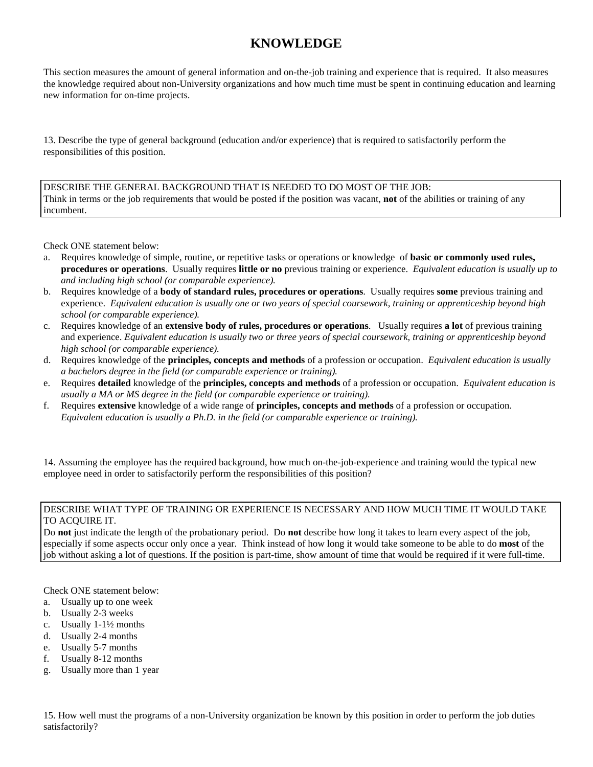# **KNOWLEDGE**

This section measures the amount of general information and on-the-job training and experience that is required. It also measures the knowledge required about non-University organizations and how much time must be spent in continuing education and learning new information for on-time projects.

13. Describe the type of general background (education and/or experience) that is required to satisfactorily perform the responsibilities of this position.

DESCRIBE THE GENERAL BACKGROUND THAT IS NEEDED TO DO MOST OF THE JOB: Think in terms or the job requirements that would be posted if the position was vacant, **not** of the abilities or training of any incumbent.

Check ONE statement below:

- a. Requires knowledge of simple, routine, or repetitive tasks or operations or knowledge of **basic or commonly used rules, procedures or operations**. Usually requires **little or no** previous training or experience. *Equivalent education is usually up to and including high school (or comparable experience).*
- b. Requires knowledge of a **body of standard rules, procedures or operations**. Usually requires **some** previous training and experience. *Equivalent education is usually one or two years of special coursework, training or apprenticeship beyond high school (or comparable experience).*
- c. Requires knowledge of an **extensive body of rules, procedures or operations**. Usually requires **a lot** of previous training and experience. *Equivalent education is usually two or three years of special coursework, training or apprenticeship beyond high school (or comparable experience).*
- d. Requires knowledge of the **principles, concepts and methods** of a profession or occupation. *Equivalent education is usually a bachelors degree in the field (or comparable experience or training).*
- e. Requires **detailed** knowledge of the **principles, concepts and methods** of a profession or occupation. *Equivalent education is usually a MA or MS degree in the field (or comparable experience or training).*
- f. Requires **extensive** knowledge of a wide range of **principles, concepts and methods** of a profession or occupation. *Equivalent education is usually a Ph.D. in the field (or comparable experience or training).*

14. Assuming the employee has the required background, how much on-the-job-experience and training would the typical new employee need in order to satisfactorily perform the responsibilities of this position?

#### DESCRIBE WHAT TYPE OF TRAINING OR EXPERIENCE IS NECESSARY AND HOW MUCH TIME IT WOULD TAKE TO ACQUIRE IT.

Do **not** just indicate the length of the probationary period. Do **not** describe how long it takes to learn every aspect of the job, especially if some aspects occur only once a year. Think instead of how long it would take someone to be able to do **most** of the job without asking a lot of questions. If the position is part-time, show amount of time that would be required if it were full-time.

Check ONE statement below:

- a. Usually up to one week
- b. Usually 2-3 weeks
- c. Usually 1-1½ months
- d. Usually 2-4 months
- e. Usually 5-7 months
- f. Usually 8-12 months
- g. Usually more than 1 year

15. How well must the programs of a non-University organization be known by this position in order to perform the job duties satisfactorily?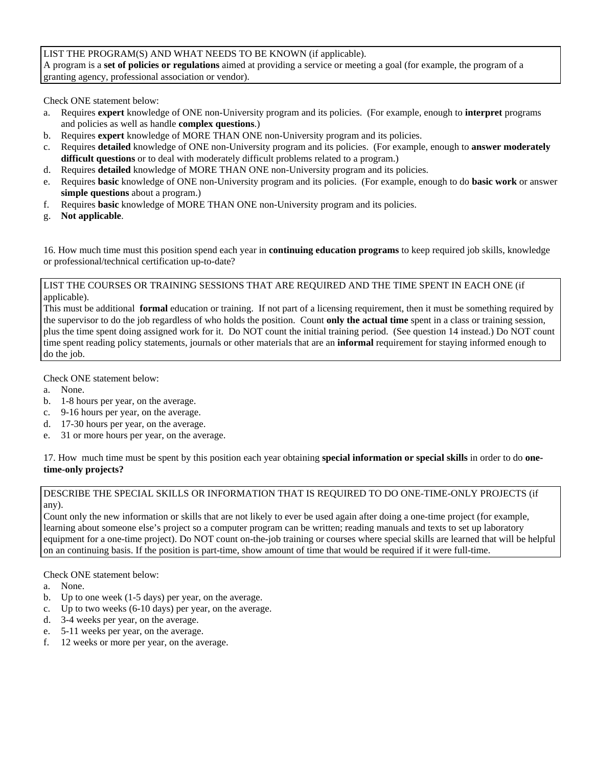### LIST THE PROGRAM(S) AND WHAT NEEDS TO BE KNOWN (if applicable).

A program is a **set of policies or regulations** aimed at providing a service or meeting a goal (for example, the program of a granting agency, professional association or vendor).

Check ONE statement below:

- a. Requires **expert** knowledge of ONE non-University program and its policies. (For example, enough to **interpret** programs and policies as well as handle **complex questions**.)
- b. Requires **expert** knowledge of MORE THAN ONE non-University program and its policies.
- c. Requires **detailed** knowledge of ONE non-University program and its policies. (For example, enough to **answer moderately difficult questions** or to deal with moderately difficult problems related to a program.)
- d. Requires **detailed** knowledge of MORE THAN ONE non-University program and its policies.
- e. Requires **basic** knowledge of ONE non-University program and its policies. (For example, enough to do **basic work** or answer **simple questions** about a program.)
- f. Requires **basic** knowledge of MORE THAN ONE non-University program and its policies.
- g. **Not applicable**.

16. How much time must this position spend each year in **continuing education programs** to keep required job skills, knowledge or professional/technical certification up-to-date?

#### LIST THE COURSES OR TRAINING SESSIONS THAT ARE REQUIRED AND THE TIME SPENT IN EACH ONE (if applicable).

This must be additional **formal** education or training. If not part of a licensing requirement, then it must be something required by the supervisor to do the job regardless of who holds the position. Count **only the actual time** spent in a class or training session, plus the time spent doing assigned work for it. Do NOT count the initial training period. (See question 14 instead.) Do NOT count time spent reading policy statements, journals or other materials that are an **informal** requirement for staying informed enough to do the job.

Check ONE statement below:

- a. None.
- b. 1-8 hours per year, on the average.
- c. 9-16 hours per year, on the average.
- d. 17-30 hours per year, on the average.
- e. 31 or more hours per year, on the average.

17. How much time must be spent by this position each year obtaining **special information or special skills** in order to do **onetime-only projects?** 

#### DESCRIBE THE SPECIAL SKILLS OR INFORMATION THAT IS REQUIRED TO DO ONE-TIME-ONLY PROJECTS (if any).

Count only the new information or skills that are not likely to ever be used again after doing a one-time project (for example, learning about someone else's project so a computer program can be written; reading manuals and texts to set up laboratory equipment for a one-time project). Do NOT count on-the-job training or courses where special skills are learned that will be helpful on an continuing basis. If the position is part-time, show amount of time that would be required if it were full-time.

- a. None.
- b. Up to one week (1-5 days) per year, on the average.
- c. Up to two weeks (6-10 days) per year, on the average.
- d. 3-4 weeks per year, on the average.
- e. 5-11 weeks per year, on the average.
- f. 12 weeks or more per year, on the average.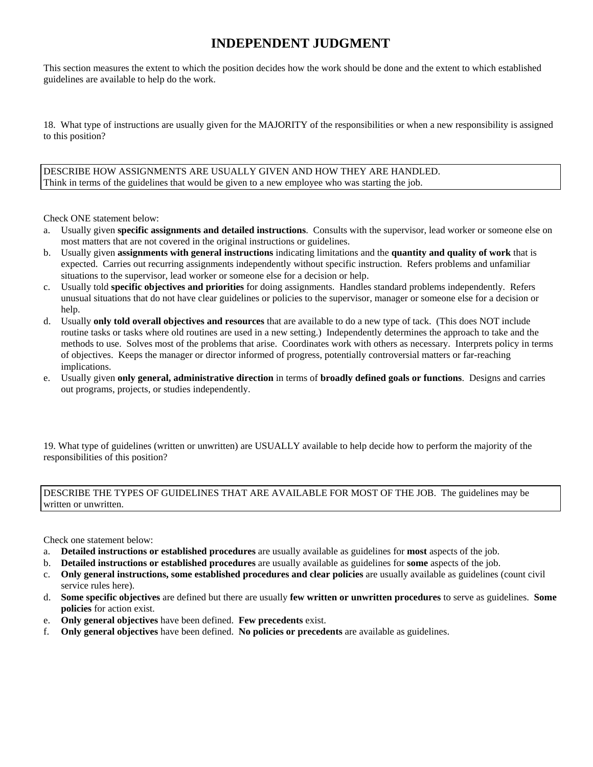# **INDEPENDENT JUDGMENT**

This section measures the extent to which the position decides how the work should be done and the extent to which established guidelines are available to help do the work.

18. What type of instructions are usually given for the MAJORITY of the responsibilities or when a new responsibility is assigned to this position?

DESCRIBE HOW ASSIGNMENTS ARE USUALLY GIVEN AND HOW THEY ARE HANDLED. Think in terms of the guidelines that would be given to a new employee who was starting the job.

Check ONE statement below:

- a. Usually given **specific assignments and detailed instructions**. Consults with the supervisor, lead worker or someone else on most matters that are not covered in the original instructions or guidelines.
- b. Usually given **assignments with general instructions** indicating limitations and the **quantity and quality of work** that is expected. Carries out recurring assignments independently without specific instruction. Refers problems and unfamiliar situations to the supervisor, lead worker or someone else for a decision or help.
- c. Usually told **specific objectives and priorities** for doing assignments. Handles standard problems independently. Refers unusual situations that do not have clear guidelines or policies to the supervisor, manager or someone else for a decision or help.
- d. Usually **only told overall objectives and resources** that are available to do a new type of tack. (This does NOT include routine tasks or tasks where old routines are used in a new setting.) Independently determines the approach to take and the methods to use. Solves most of the problems that arise. Coordinates work with others as necessary. Interprets policy in terms of objectives. Keeps the manager or director informed of progress, potentially controversial matters or far-reaching implications.
- e. Usually given **only general, administrative direction** in terms of **broadly defined goals or functions**. Designs and carries out programs, projects, or studies independently.

19. What type of guidelines (written or unwritten) are USUALLY available to help decide how to perform the majority of the responsibilities of this position?

DESCRIBE THE TYPES OF GUIDELINES THAT ARE AVAILABLE FOR MOST OF THE JOB. The guidelines may be written or unwritten.

Check one statement below:

- a. **Detailed instructions or established procedures** are usually available as guidelines for **most** aspects of the job.
- b. **Detailed instructions or established procedures** are usually available as guidelines for **some** aspects of the job.
- c. **Only general instructions, some established procedures and clear policies** are usually available as guidelines (count civil service rules here).
- d. **Some specific objectives** are defined but there are usually **few written or unwritten procedures** to serve as guidelines. **Some policies** for action exist.
- e. **Only general objectives** have been defined. **Few precedents** exist.
- f. **Only general objectives** have been defined. **No policies or precedents** are available as guidelines.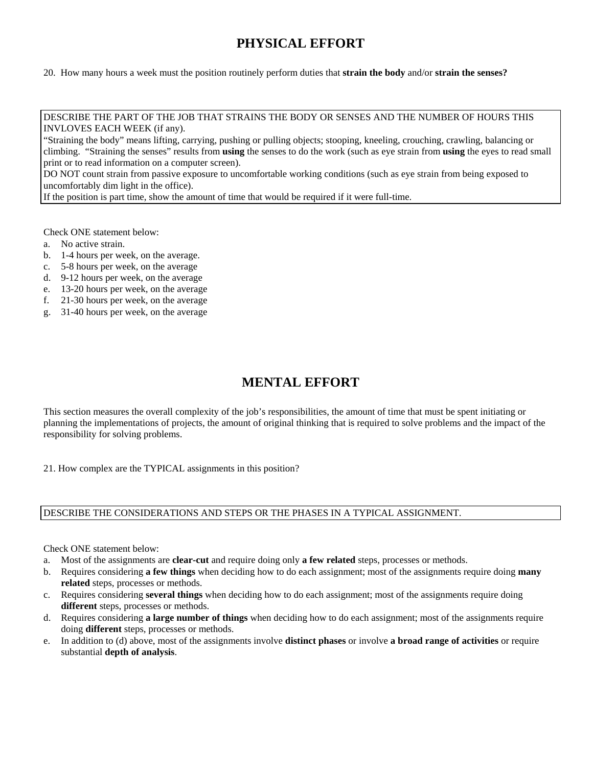# **PHYSICAL EFFORT**

20. How many hours a week must the position routinely perform duties that **strain the body** and/or **strain the senses?** 

DESCRIBE THE PART OF THE JOB THAT STRAINS THE BODY OR SENSES AND THE NUMBER OF HOURS THIS INVLOVES EACH WEEK (if any).

"Straining the body" means lifting, carrying, pushing or pulling objects; stooping, kneeling, crouching, crawling, balancing or climbing. "Straining the senses" results from **using** the senses to do the work (such as eye strain from **using** the eyes to read small print or to read information on a computer screen).

DO NOT count strain from passive exposure to uncomfortable working conditions (such as eye strain from being exposed to uncomfortably dim light in the office).

If the position is part time, show the amount of time that would be required if it were full-time.

Check ONE statement below:

- a. No active strain.
- b. 1-4 hours per week, on the average.
- c. 5-8 hours per week, on the average
- d. 9-12 hours per week, on the average
- e. 13-20 hours per week, on the average
- f. 21-30 hours per week, on the average
- g. 31-40 hours per week, on the average

### **MENTAL EFFORT**

This section measures the overall complexity of the job's responsibilities, the amount of time that must be spent initiating or planning the implementations of projects, the amount of original thinking that is required to solve problems and the impact of the responsibility for solving problems.

21. How complex are the TYPICAL assignments in this position?

### DESCRIBE THE CONSIDERATIONS AND STEPS OR THE PHASES IN A TYPICAL ASSIGNMENT.

- a. Most of the assignments are **clear-cut** and require doing only **a few related** steps, processes or methods.
- b. Requires considering **a few things** when deciding how to do each assignment; most of the assignments require doing **many related** steps, processes or methods.
- c. Requires considering **several things** when deciding how to do each assignment; most of the assignments require doing **different** steps, processes or methods.
- d. Requires considering **a large number of things** when deciding how to do each assignment; most of the assignments require doing **different** steps, processes or methods.
- e. In addition to (d) above, most of the assignments involve **distinct phases** or involve **a broad range of activities** or require substantial **depth of analysis**.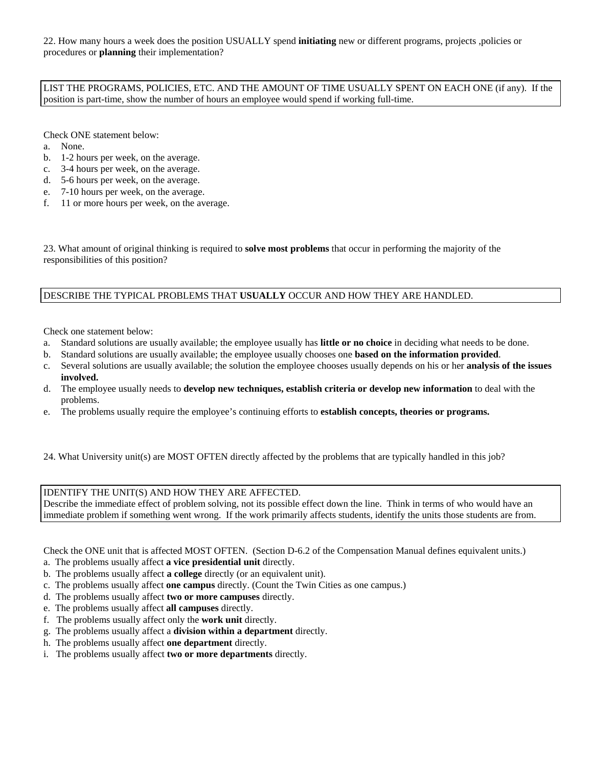22. How many hours a week does the position USUALLY spend **initiating** new or different programs, projects ,policies or procedures or **planning** their implementation?

LIST THE PROGRAMS, POLICIES, ETC. AND THE AMOUNT OF TIME USUALLY SPENT ON EACH ONE (if any). If the position is part-time, show the number of hours an employee would spend if working full-time.

Check ONE statement below:

- a. None.
- b. 1-2 hours per week, on the average.
- c. 3-4 hours per week, on the average.
- d. 5-6 hours per week, on the average.
- e. 7-10 hours per week, on the average.
- f. 11 or more hours per week, on the average.

23. What amount of original thinking is required to **solve most problems** that occur in performing the majority of the responsibilities of this position?

### DESCRIBE THE TYPICAL PROBLEMS THAT **USUALLY** OCCUR AND HOW THEY ARE HANDLED.

Check one statement below:

- a. Standard solutions are usually available; the employee usually has **little or no choice** in deciding what needs to be done.
- b. Standard solutions are usually available; the employee usually chooses one **based on the information provided**.
- c. Several solutions are usually available; the solution the employee chooses usually depends on his or her **analysis of the issues involved.**
- d. The employee usually needs to **develop new techniques, establish criteria or develop new information** to deal with the problems.
- e. The problems usually require the employee's continuing efforts to **establish concepts, theories or programs.**
- 24. What University unit(s) are MOST OFTEN directly affected by the problems that are typically handled in this job?

#### IDENTIFY THE UNIT(S) AND HOW THEY ARE AFFECTED.

Describe the immediate effect of problem solving, not its possible effect down the line. Think in terms of who would have an immediate problem if something went wrong. If the work primarily affects students, identify the units those students are from.

Check the ONE unit that is affected MOST OFTEN. (Section D-6.2 of the Compensation Manual defines equivalent units.)

- a. The problems usually affect **a vice presidential unit** directly.
- b. The problems usually affect **a college** directly (or an equivalent unit).
- c. The problems usually affect **one campus** directly. (Count the Twin Cities as one campus.)
- d. The problems usually affect **two or more campuses** directly.
- e. The problems usually affect **all campuses** directly.
- f. The problems usually affect only the **work unit** directly.
- g. The problems usually affect a **division within a department** directly.
- h. The problems usually affect **one department** directly.
- i. The problems usually affect **two or more departments** directly.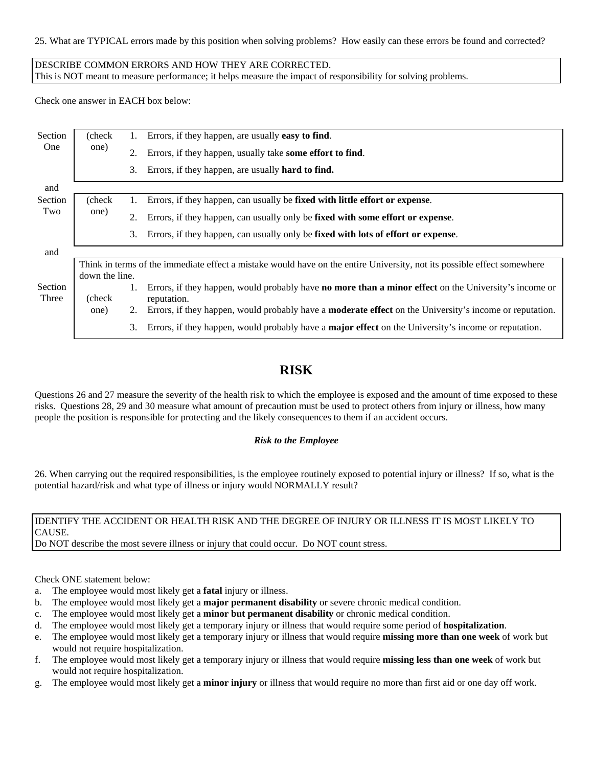25. What are TYPICAL errors made by this position when solving problems? How easily can these errors be found and corrected?

DESCRIBE COMMON ERRORS AND HOW THEY ARE CORRECTED. This is NOT meant to measure performance; it helps measure the impact of responsibility for solving problems.

Check one answer in EACH box below:

| Section<br>One | (check)<br>one)                                                                                                                           | Errors, if they happen, are usually easy to find.<br>1.                                                              |  |
|----------------|-------------------------------------------------------------------------------------------------------------------------------------------|----------------------------------------------------------------------------------------------------------------------|--|
|                |                                                                                                                                           | Errors, if they happen, usually take some effort to find.<br>2.                                                      |  |
|                |                                                                                                                                           | Errors, if they happen, are usually hard to find.<br>3.                                                              |  |
| and            |                                                                                                                                           |                                                                                                                      |  |
| Section        | (check)                                                                                                                                   | Errors, if they happen, can usually be fixed with little effort or expense.<br>1.                                    |  |
| Two            | one)                                                                                                                                      | Errors, if they happen, can usually only be fixed with some effort or expense.<br>2.                                 |  |
|                |                                                                                                                                           | Errors, if they happen, can usually only be fixed with lots of effort or expense.<br>3.                              |  |
| and            |                                                                                                                                           |                                                                                                                      |  |
|                | Think in terms of the immediate effect a mistake would have on the entire University, not its possible effect somewhere<br>down the line. |                                                                                                                      |  |
| Section        |                                                                                                                                           | Errors, if they happen, would probably have <b>no more than a minor effect</b> on the University's income or         |  |
| Three          | (check)                                                                                                                                   | reputation.                                                                                                          |  |
|                | one)                                                                                                                                      | Errors, if they happen, would probably have a <b>moderate effect</b> on the University's income or reputation.<br>2. |  |
|                |                                                                                                                                           | Errors, if they happen, would probably have a <b>major effect</b> on the University's income or reputation.<br>3.    |  |

### **RISK**

Questions 26 and 27 measure the severity of the health risk to which the employee is exposed and the amount of time exposed to these risks. Questions 28, 29 and 30 measure what amount of precaution must be used to protect others from injury or illness, how many people the position is responsible for protecting and the likely consequences to them if an accident occurs.

### *Risk to the Employee*

26. When carrying out the required responsibilities, is the employee routinely exposed to potential injury or illness? If so, what is the potential hazard/risk and what type of illness or injury would NORMALLY result?

### IDENTIFY THE ACCIDENT OR HEALTH RISK AND THE DEGREE OF INJURY OR ILLNESS IT IS MOST LIKELY TO CAUSE.

Do NOT describe the most severe illness or injury that could occur. Do NOT count stress.

- a. The employee would most likely get a **fatal** injury or illness.
- b. The employee would most likely get a **major permanent disability** or severe chronic medical condition.
- c. The employee would most likely get a **minor but permanent disability** or chronic medical condition.
- d. The employee would most likely get a temporary injury or illness that would require some period of **hospitalization**.
- e. The employee would most likely get a temporary injury or illness that would require **missing more than one week** of work but would not require hospitalization.
- f. The employee would most likely get a temporary injury or illness that would require **missing less than one week** of work but would not require hospitalization.
- g. The employee would most likely get a **minor injury** or illness that would require no more than first aid or one day off work.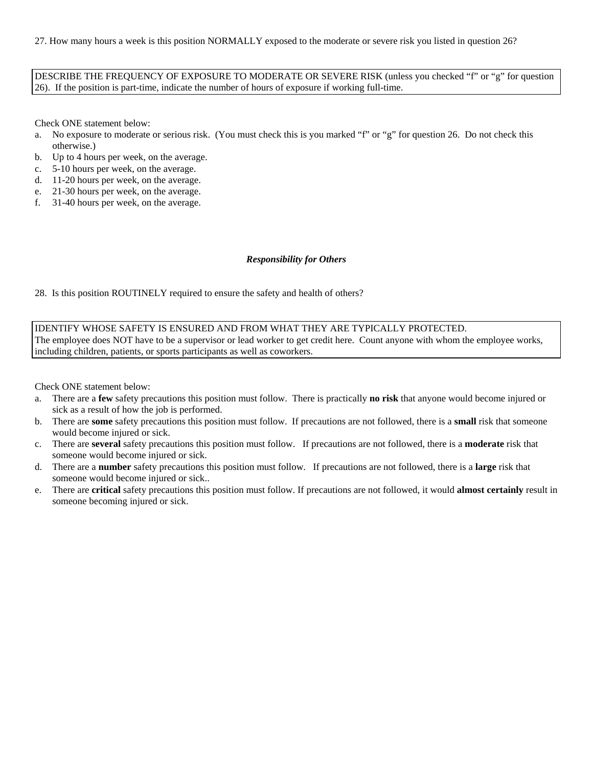27. How many hours a week is this position NORMALLY exposed to the moderate or severe risk you listed in question 26?

DESCRIBE THE FREQUENCY OF EXPOSURE TO MODERATE OR SEVERE RISK (unless you checked "f" or "g" for question 26). If the position is part-time, indicate the number of hours of exposure if working full-time.

Check ONE statement below:

- a. No exposure to moderate or serious risk. (You must check this is you marked "f" or "g" for question 26. Do not check this otherwise.)
- b. Up to 4 hours per week, on the average.
- c. 5-10 hours per week, on the average.
- d. 11-20 hours per week, on the average.
- e. 21-30 hours per week, on the average.
- f. 31-40 hours per week, on the average.

#### *Responsibility for Others*

28. Is this position ROUTINELY required to ensure the safety and health of others?

IDENTIFY WHOSE SAFETY IS ENSURED AND FROM WHAT THEY ARE TYPICALLY PROTECTED. The employee does NOT have to be a supervisor or lead worker to get credit here. Count anyone with whom the employee works, including children, patients, or sports participants as well as coworkers.

- a. There are a **few** safety precautions this position must follow. There is practically **no risk** that anyone would become injured or sick as a result of how the job is performed.
- b. There are **some** safety precautions this position must follow. If precautions are not followed, there is a **small** risk that someone would become injured or sick.
- c. There are **several** safety precautions this position must follow. If precautions are not followed, there is a **moderate** risk that someone would become injured or sick.
- d. There are a **number** safety precautions this position must follow. If precautions are not followed, there is a **large** risk that someone would become injured or sick..
- e. There are **critical** safety precautions this position must follow. If precautions are not followed, it would **almost certainly** result in someone becoming injured or sick.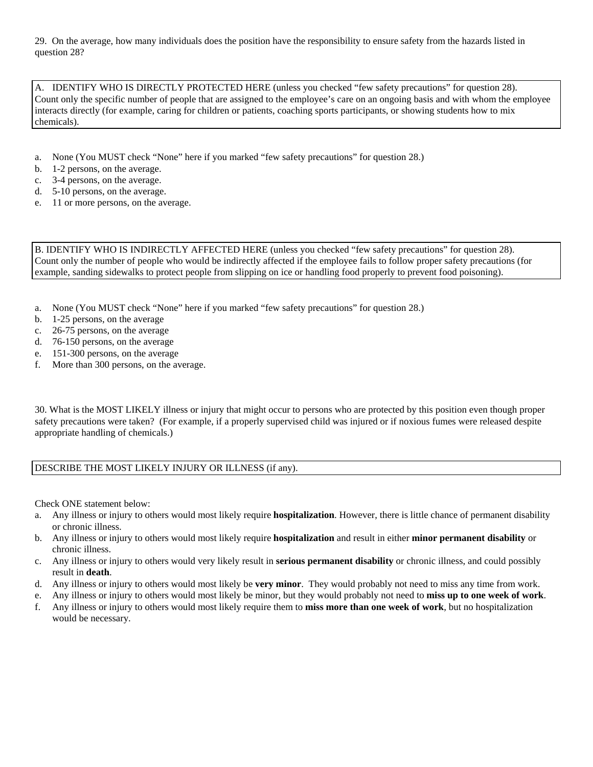29. On the average, how many individuals does the position have the responsibility to ensure safety from the hazards listed in question 28?

A. IDENTIFY WHO IS DIRECTLY PROTECTED HERE (unless you checked "few safety precautions" for question 28). Count only the specific number of people that are assigned to the employee's care on an ongoing basis and with whom the employee interacts directly (for example, caring for children or patients, coaching sports participants, or showing students how to mix chemicals).

- a. None (You MUST check "None" here if you marked "few safety precautions" for question 28.)
- b. 1-2 persons, on the average.
- c. 3-4 persons, on the average.
- d. 5-10 persons, on the average.
- e. 11 or more persons, on the average.

B. IDENTIFY WHO IS INDIRECTLY AFFECTED HERE (unless you checked "few safety precautions" for question 28). Count only the number of people who would be indirectly affected if the employee fails to follow proper safety precautions (for example, sanding sidewalks to protect people from slipping on ice or handling food properly to prevent food poisoning).

- a. None (You MUST check "None" here if you marked "few safety precautions" for question 28.)
- b. 1-25 persons, on the average
- c. 26-75 persons, on the average
- d. 76-150 persons, on the average
- e. 151-300 persons, on the average
- f. More than 300 persons, on the average.

30. What is the MOST LIKELY illness or injury that might occur to persons who are protected by this position even though proper safety precautions were taken? (For example, if a properly supervised child was injured or if noxious fumes were released despite appropriate handling of chemicals.)

### DESCRIBE THE MOST LIKELY INJURY OR ILLNESS (if any).

- a. Any illness or injury to others would most likely require **hospitalization**. However, there is little chance of permanent disability or chronic illness.
- b. Any illness or injury to others would most likely require **hospitalization** and result in either **minor permanent disability** or chronic illness.
- c. Any illness or injury to others would very likely result in **serious permanent disability** or chronic illness, and could possibly result in **death**.
- d. Any illness or injury to others would most likely be **very minor**. They would probably not need to miss any time from work.
- e. Any illness or injury to others would most likely be minor, but they would probably not need to **miss up to one week of work**.
- f. Any illness or injury to others would most likely require them to **miss more than one week of work**, but no hospitalization would be necessary.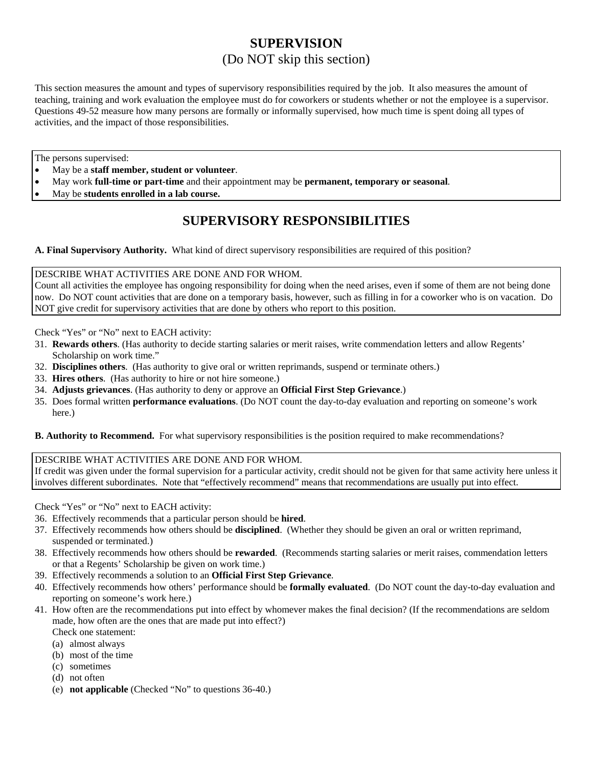# **SUPERVISION**  (Do NOT skip this section)

This section measures the amount and types of supervisory responsibilities required by the job. It also measures the amount of teaching, training and work evaluation the employee must do for coworkers or students whether or not the employee is a supervisor. Questions 49-52 measure how many persons are formally or informally supervised, how much time is spent doing all types of activities, and the impact of those responsibilities.

The persons supervised:

- May be a **staff member, student or volunteer**.
- May work **full-time or part-time** and their appointment may be **permanent, temporary or seasonal**.
- May be **students enrolled in a lab course.**

# **SUPERVISORY RESPONSIBILITIES**

**A. Final Supervisory Authority.** What kind of direct supervisory responsibilities are required of this position?

DESCRIBE WHAT ACTIVITIES ARE DONE AND FOR WHOM.

Count all activities the employee has ongoing responsibility for doing when the need arises, even if some of them are not being done now. Do NOT count activities that are done on a temporary basis, however, such as filling in for a coworker who is on vacation. Do NOT give credit for supervisory activities that are done by others who report to this position.

Check "Yes" or "No" next to EACH activity:

- 31. **Rewards others**. (Has authority to decide starting salaries or merit raises, write commendation letters and allow Regents' Scholarship on work time."
- 32. **Disciplines others**. (Has authority to give oral or written reprimands, suspend or terminate others.)
- 33. **Hires others**. (Has authority to hire or not hire someone.)
- 34. **Adjusts grievances**. (Has authority to deny or approve an **Official First Step Grievance**.)
- 35. Does formal written **performance evaluations**. (Do NOT count the day-to-day evaluation and reporting on someone's work here.)

**B. Authority to Recommend.** For what supervisory responsibilities is the position required to make recommendations?

### DESCRIBE WHAT ACTIVITIES ARE DONE AND FOR WHOM.

If credit was given under the formal supervision for a particular activity, credit should not be given for that same activity here unless it involves different subordinates. Note that "effectively recommend" means that recommendations are usually put into effect.

Check "Yes" or "No" next to EACH activity:

- 36. Effectively recommends that a particular person should be **hired**.
- 37. Effectively recommends how others should be **disciplined**. (Whether they should be given an oral or written reprimand, suspended or terminated.)
- 38. Effectively recommends how others should be **rewarded**. (Recommends starting salaries or merit raises, commendation letters or that a Regents' Scholarship be given on work time.)
- 39. Effectively recommends a solution to an **Official First Step Grievance**.
- 40. Effectively recommends how others' performance should be **formally evaluated**. (Do NOT count the day-to-day evaluation and reporting on someone's work here.)
- 41. How often are the recommendations put into effect by whomever makes the final decision? (If the recommendations are seldom made, how often are the ones that are made put into effect?)

Check one statement:

- (a) almost always
- (b) most of the time
- (c) sometimes
- (d) not often
- (e) **not applicable** (Checked "No" to questions 36-40.)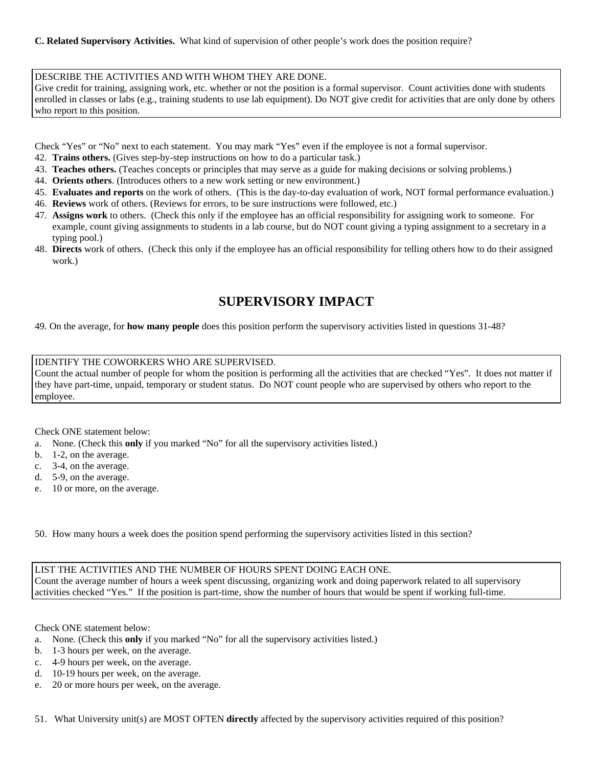#### DESCRIBE THE ACTIVITIES AND WITH WHOM THEY ARE DONE.

Give credit for training, assigning work, etc. whether or not the position is a formal supervisor. Count activities done with students enrolled in classes or labs (e.g., training students to use lab equipment). Do NOT give credit for activities that are only done by others who report to this position.

Check "Yes" or "No" next to each statement. You may mark "Yes" even if the employee is not a formal supervisor.

- 42. **Trains others.** (Gives step-by-step instructions on how to do a particular task.)
- 43. **Teaches others.** (Teaches concepts or principles that may serve as a guide for making decisions or solving problems.)
- 44. **Orients others**. (Introduces others to a new work setting or new environment.)
- 45. **Evaluates and reports** on the work of others. (This is the day-to-day evaluation of work, NOT formal performance evaluation.)
- 46. **Reviews** work of others. (Reviews for errors, to be sure instructions were followed, etc.)
- 47. **Assigns work** to others. (Check this only if the employee has an official responsibility for assigning work to someone. For example, count giving assignments to students in a lab course, but do NOT count giving a typing assignment to a secretary in a typing pool.)
- 48. **Directs** work of others. (Check this only if the employee has an official responsibility for telling others how to do their assigned work.)

# **SUPERVISORY IMPACT**

49. On the average, for **how many people** does this position perform the supervisory activities listed in questions 31-48?

### IDENTIFY THE COWORKERS WHO ARE SUPERVISED.

Count the actual number of people for whom the position is performing all the activities that are checked "Yes". It does not matter if they have part-time, unpaid, temporary or student status. Do NOT count people who are supervised by others who report to the employee.

#### Check ONE statement below:

- a. None. (Check this **only** if you marked "No" for all the supervisory activities listed.)
- b. 1-2, on the average.
- c. 3-4, on the average.
- d. 5-9, on the average.
- e. 10 or more, on the average.

50. How many hours a week does the position spend performing the supervisory activities listed in this section?

LIST THE ACTIVITIES AND THE NUMBER OF HOURS SPENT DOING EACH ONE. Count the average number of hours a week spent discussing, organizing work and doing paperwork related to all supervisory activities checked "Yes." If the position is part-time, show the number of hours that would be spent if working full-time.

Check ONE statement below:

- a. None. (Check this **only** if you marked "No" for all the supervisory activities listed.)
- b. 1-3 hours per week, on the average.
- c. 4-9 hours per week, on the average.
- d. 10-19 hours per week, on the average.
- e. 20 or more hours per week, on the average.

51. What University unit(s) are MOST OFTEN **directly** affected by the supervisory activities required of this position?